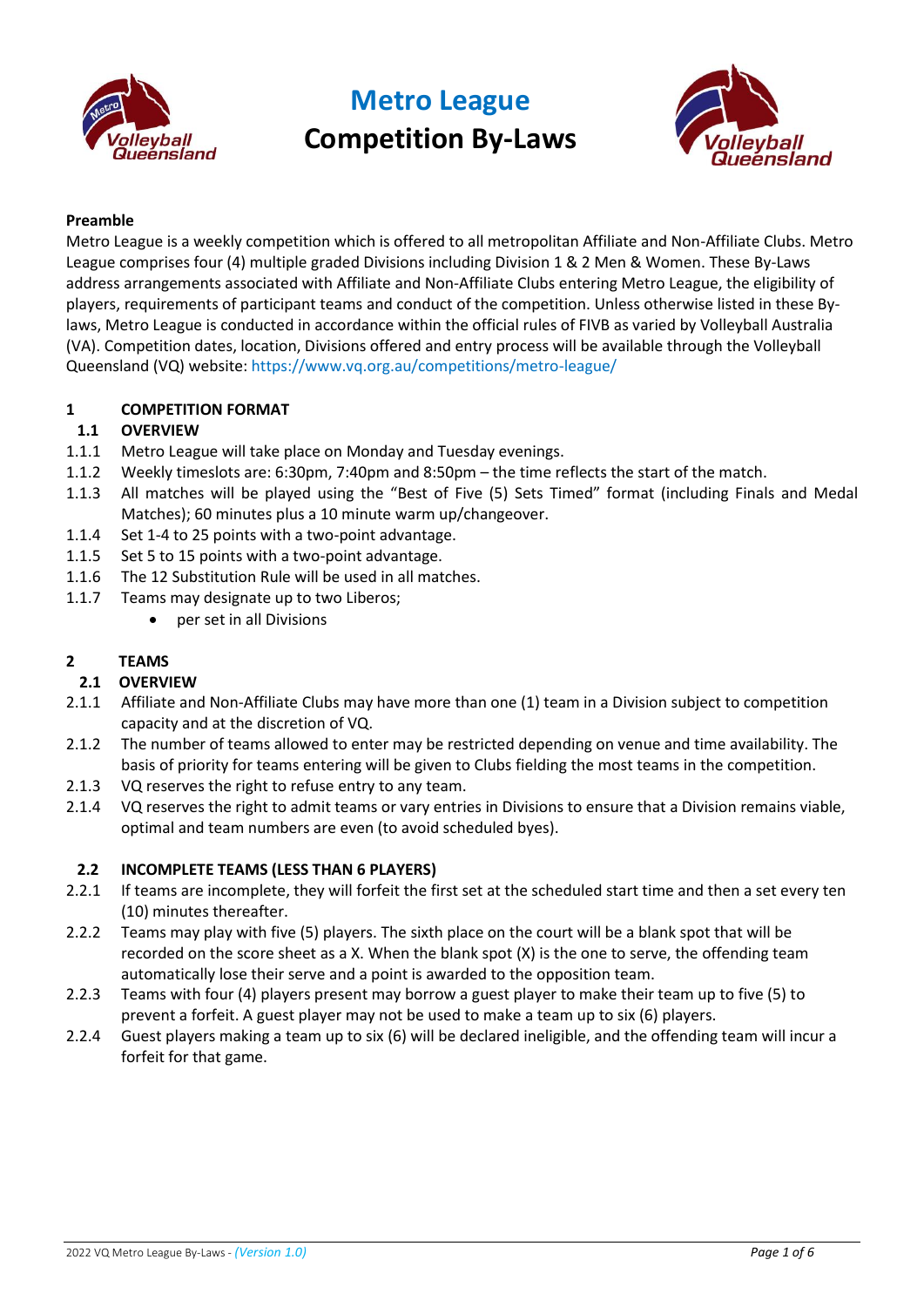



## **Preamble**

Metro League is a weekly competition which is offered to all metropolitan Affiliate and Non-Affiliate Clubs. Metro League comprises four (4) multiple graded Divisions including Division 1 & 2 Men & Women. These By-Laws address arrangements associated with Affiliate and Non-Affiliate Clubs entering Metro League, the eligibility of players, requirements of participant teams and conduct of the competition. Unless otherwise listed in these Bylaws, Metro League is conducted in accordance within the official rules of FIVB as varied by Volleyball Australia (VA). Competition dates, location, Divisions offered and entry process will be available through the Volleyball Queensland (VQ) website: <https://www.vq.org.au/competitions/metro-league/>

### **1 COMPETITION FORMAT**

### **1.1 OVERVIEW**

- 1.1.1 Metro League will take place on Monday and Tuesday evenings.
- 1.1.2 Weekly timeslots are: 6:30pm, 7:40pm and 8:50pm the time reflects the start of the match.
- 1.1.3 All matches will be played using the "Best of Five (5) Sets Timed" format (including Finals and Medal Matches); 60 minutes plus a 10 minute warm up/changeover.
- 1.1.4 Set 1-4 to 25 points with a two-point advantage.
- 1.1.5 Set 5 to 15 points with a two-point advantage.
- 1.1.6 The 12 Substitution Rule will be used in all matches.
- 1.1.7 Teams may designate up to two Liberos;
	- per set in all Divisions

## **2 TEAMS**

### **2.1 OVERVIEW**

- 2.1.1 Affiliate and Non-Affiliate Clubs may have more than one (1) team in a Division subject to competition capacity and at the discretion of VQ.
- 2.1.2 The number of teams allowed to enter may be restricted depending on venue and time availability. The basis of priority for teams entering will be given to Clubs fielding the most teams in the competition.
- 2.1.3 VQ reserves the right to refuse entry to any team.
- 2.1.4 VQ reserves the right to admit teams or vary entries in Divisions to ensure that a Division remains viable, optimal and team numbers are even (to avoid scheduled byes).

### **2.2 INCOMPLETE TEAMS (LESS THAN 6 PLAYERS)**

- 2.2.1 If teams are incomplete, they will forfeit the first set at the scheduled start time and then a set every ten (10) minutes thereafter.
- 2.2.2 Teams may play with five (5) players. The sixth place on the court will be a blank spot that will be recorded on the score sheet as a X. When the blank spot (X) is the one to serve, the offending team automatically lose their serve and a point is awarded to the opposition team.
- 2.2.3 Teams with four (4) players present may borrow a guest player to make their team up to five (5) to prevent a forfeit. A guest player may not be used to make a team up to six (6) players.
- 2.2.4 Guest players making a team up to six (6) will be declared ineligible, and the offending team will incur a forfeit for that game.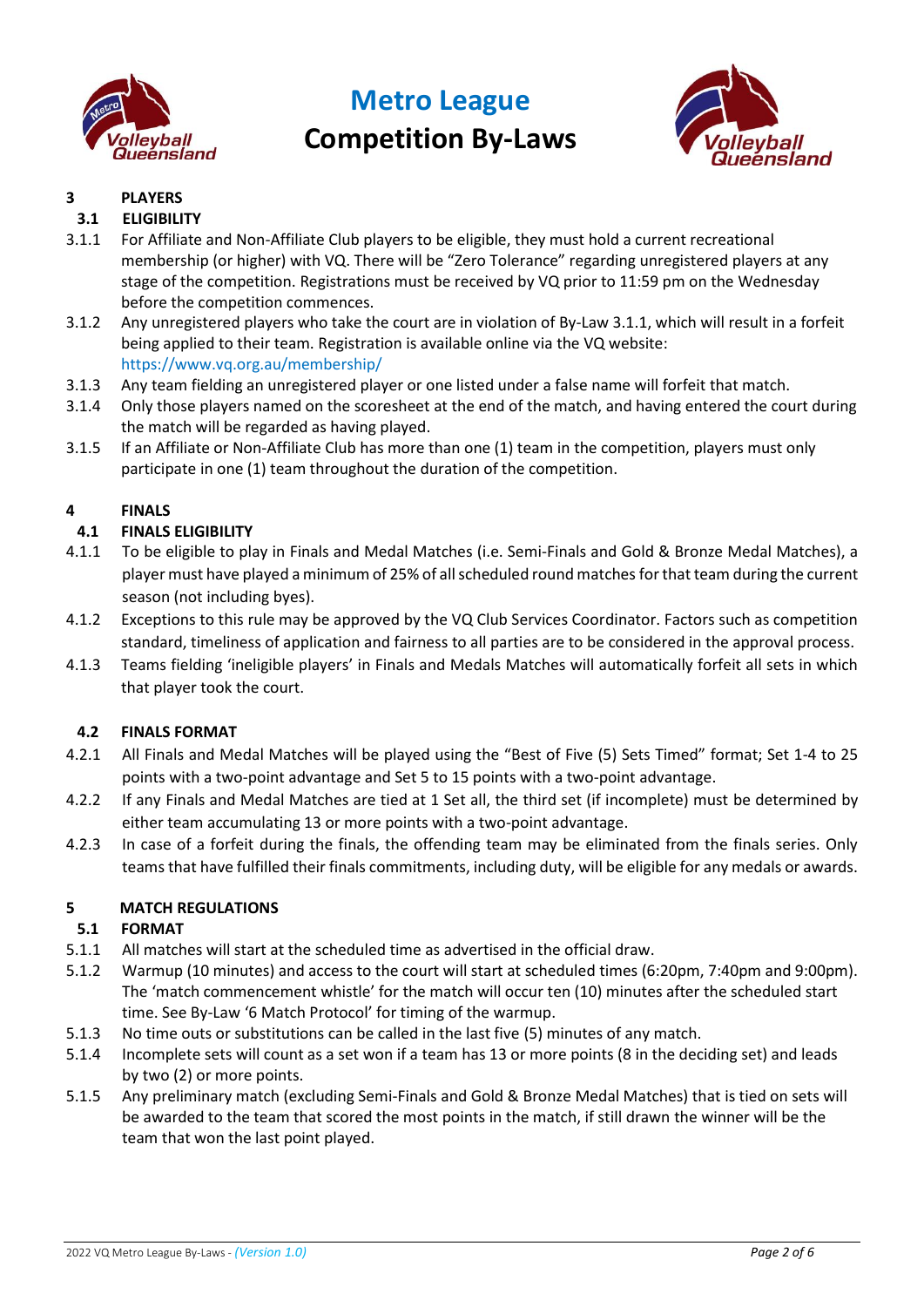



## **3 PLAYERS**

## **3.1 ELIGIBILITY**

- 3.1.1 For Affiliate and Non-Affiliate Club players to be eligible, they must hold a current recreational membership (or higher) with VQ. There will be "Zero Tolerance" regarding unregistered players at any stage of the competition. Registrations must be received by VQ prior to 11:59 pm on the Wednesday before the competition commences.
- 3.1.2 Any unregistered players who take the court are in violation of By-Law 3.1.1, which will result in a forfeit being applied to their team. Registration is available online via the VQ website: <https://www.vq.org.au/membership/>
- 3.1.3 Any team fielding an unregistered player or one listed under a false name will forfeit that match.
- 3.1.4 Only those players named on the scoresheet at the end of the match, and having entered the court during the match will be regarded as having played.
- 3.1.5 If an Affiliate or Non-Affiliate Club has more than one (1) team in the competition, players must only participate in one (1) team throughout the duration of the competition.

## **4 FINALS**

## **4.1 FINALS ELIGIBILITY**

- 4.1.1 To be eligible to play in Finals and Medal Matches (i.e. Semi-Finals and Gold & Bronze Medal Matches), a player must have played a minimum of 25% of all scheduled round matches for that team during the current season (not including byes).
- 4.1.2 Exceptions to this rule may be approved by the VQ Club Services Coordinator. Factors such as competition standard, timeliness of application and fairness to all parties are to be considered in the approval process.
- 4.1.3 Teams fielding 'ineligible players' in Finals and Medals Matches will automatically forfeit all sets in which that player took the court.

### **4.2 FINALS FORMAT**

- 4.2.1 All Finals and Medal Matches will be played using the "Best of Five (5) Sets Timed" format; Set 1-4 to 25 points with a two-point advantage and Set 5 to 15 points with a two-point advantage.
- 4.2.2 If any Finals and Medal Matches are tied at 1 Set all, the third set (if incomplete) must be determined by either team accumulating 13 or more points with a two-point advantage.
- 4.2.3 In case of a forfeit during the finals, the offending team may be eliminated from the finals series. Only teams that have fulfilled their finals commitments, including duty, will be eligible for any medals or awards.

## **5 MATCH REGULATIONS**

### <span id="page-1-0"></span>**5.1 FORMAT**

- 5.1.1 All matches will start at the scheduled time as advertised in the official draw.
- 5.1.2 Warmup (10 minutes) and access to the court will start at scheduled times (6:20pm, 7:40pm and 9:00pm). The 'match commencement whistle' for the match will occur ten (10) minutes after the scheduled start time. See By-Law '6 [Ma](#page-3-0)tch Protocol' for timing of the warmup.
- 5.1.3 No time outs or substitutions can be called in the last five (5) minutes of any match.
- 5.1.4 Incomplete sets will count as a set won if a team has 13 or more points (8 in the deciding set) and leads by two (2) or more points.
- 5.1.5 Any preliminary match (excluding Semi-Finals and Gold & Bronze Medal Matches) that is tied on sets will be awarded to the team that scored the most points in the match, if still drawn the winner will be the team that won the last point played.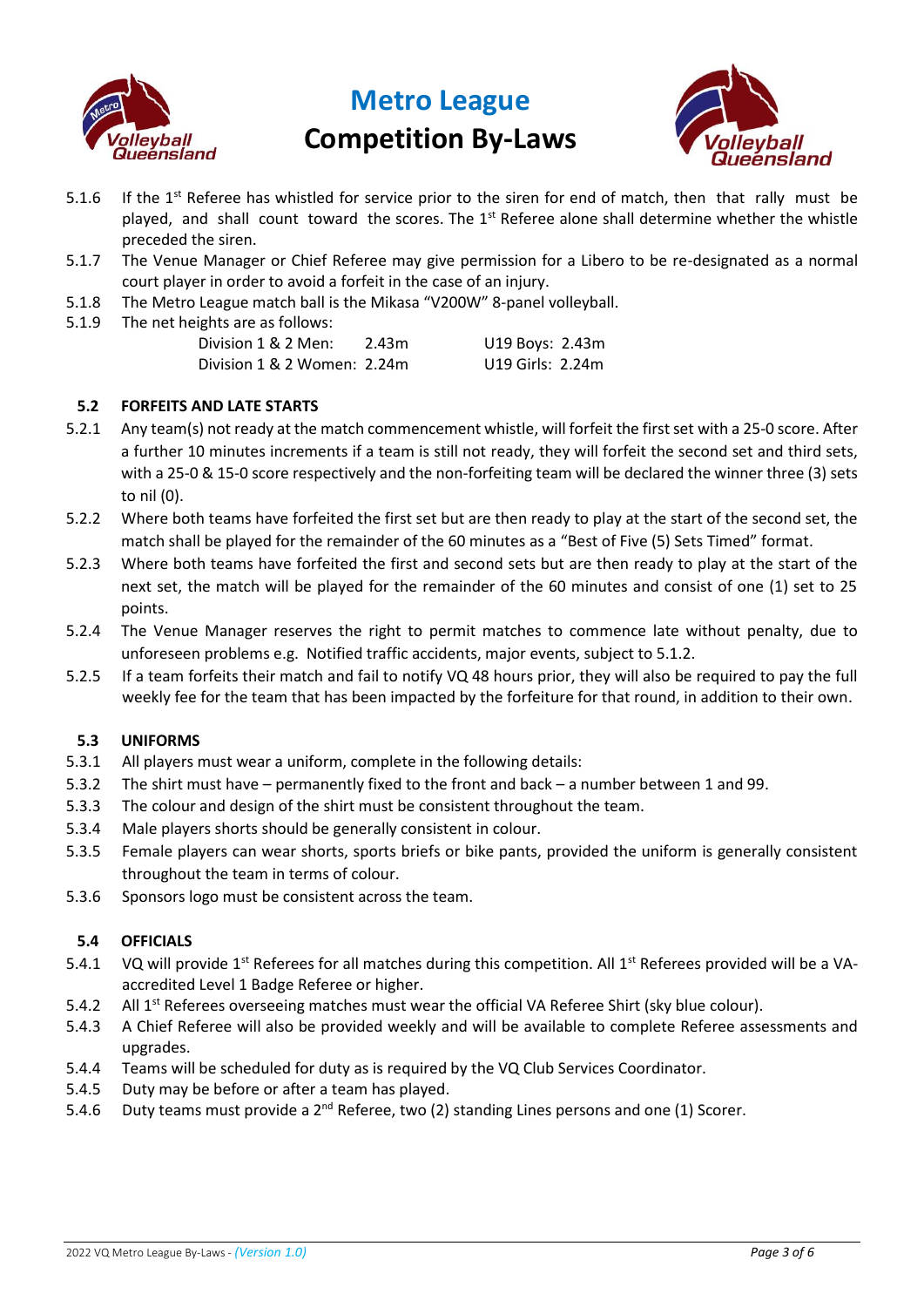



- 5.1.6 If the  $1<sup>st</sup>$  Referee has whistled for service prior to the siren for end of match, then that rally must be played, and shall count toward the scores. The 1<sup>st</sup> Referee alone shall determine whether the whistle preceded the siren.
- 5.1.7 The Venue Manager or Chief Referee may give permission for a Libero to be re-designated as a normal court player in order to avoid a forfeit in the case of an injury.
- 5.1.8 The Metro League match ball is the Mikasa "V200W" 8-panel volleyball.
- 5.1.9 The net heights are as follows:

| Division 1 & 2 Men:         | 2.43m | U19 Boys: 2.43m  |  |
|-----------------------------|-------|------------------|--|
| Division 1 & 2 Women: 2.24m |       | U19 Girls: 2.24m |  |

### **5.2 FORFEITS AND LATE STARTS**

- 5.2.1 Any team(s) not ready at the match commencement whistle, will forfeit the first set with a 25-0 score. After a further 10 minutes increments if a team is still not ready, they will forfeit the second set and third sets, with a 25-0 & 15-0 score respectively and the non-forfeiting team will be declared the winner three (3) sets to nil (0).
- 5.2.2 Where both teams have forfeited the first set but are then ready to play at the start of the second set, the match shall be played for the remainder of the 60 minutes as a "Best of Five (5) Sets Timed" format.
- 5.2.3 Where both teams have forfeited the first and second sets but are then ready to play at the start of the next set, the match will be played for the remainder of the 60 minutes and consist of one (1) set to 25 points.
- 5.2.4 The Venue Manager reserves the right to permit matches to commence late without penalty, due to unforeseen problems e.g. Notified traffic accidents, major events, subject to 5.1.2.
- 5.2.5 If a team forfeits their match and fail to notify VQ 48 hours prior, they will also be required to pay the full weekly fee for the team that has been impacted by the forfeiture for that round, in addition to their own.

### **5.3 UNIFORMS**

- 5.3.1 All players must wear a uniform, complete in the following details:
- 5.3.2 The shirt must have permanently fixed to the front and back a number between 1 and 99.
- 5.3.3 The colour and design of the shirt must be consistent throughout the team.
- 5.3.4 Male players shorts should be generally consistent in colour.
- 5.3.5 Female players can wear shorts, sports briefs or bike pants, provided the uniform is generally consistent throughout the team in terms of colour.
- 5.3.6 Sponsors logo must be consistent across the team.

## **5.4 OFFICIALS**

- 5.4.1 VQ will provide 1<sup>st</sup> Referees for all matches during this competition. All 1<sup>st</sup> Referees provided will be a VAaccredited Level 1 Badge Referee or higher.
- 5.4.2 All 1<sup>st</sup> Referees overseeing matches must wear the official VA Referee Shirt (sky blue colour).
- 5.4.3 A Chief Referee will also be provided weekly and will be available to complete Referee assessments and upgrades.
- 5.4.4 Teams will be scheduled for duty as is required by the VQ Club Services Coordinator.
- 5.4.5 Duty may be before or after a team has played.
- 5.4.6 Duty teams must provide a  $2^{nd}$  Referee, two (2) standing Lines persons and one (1) Scorer.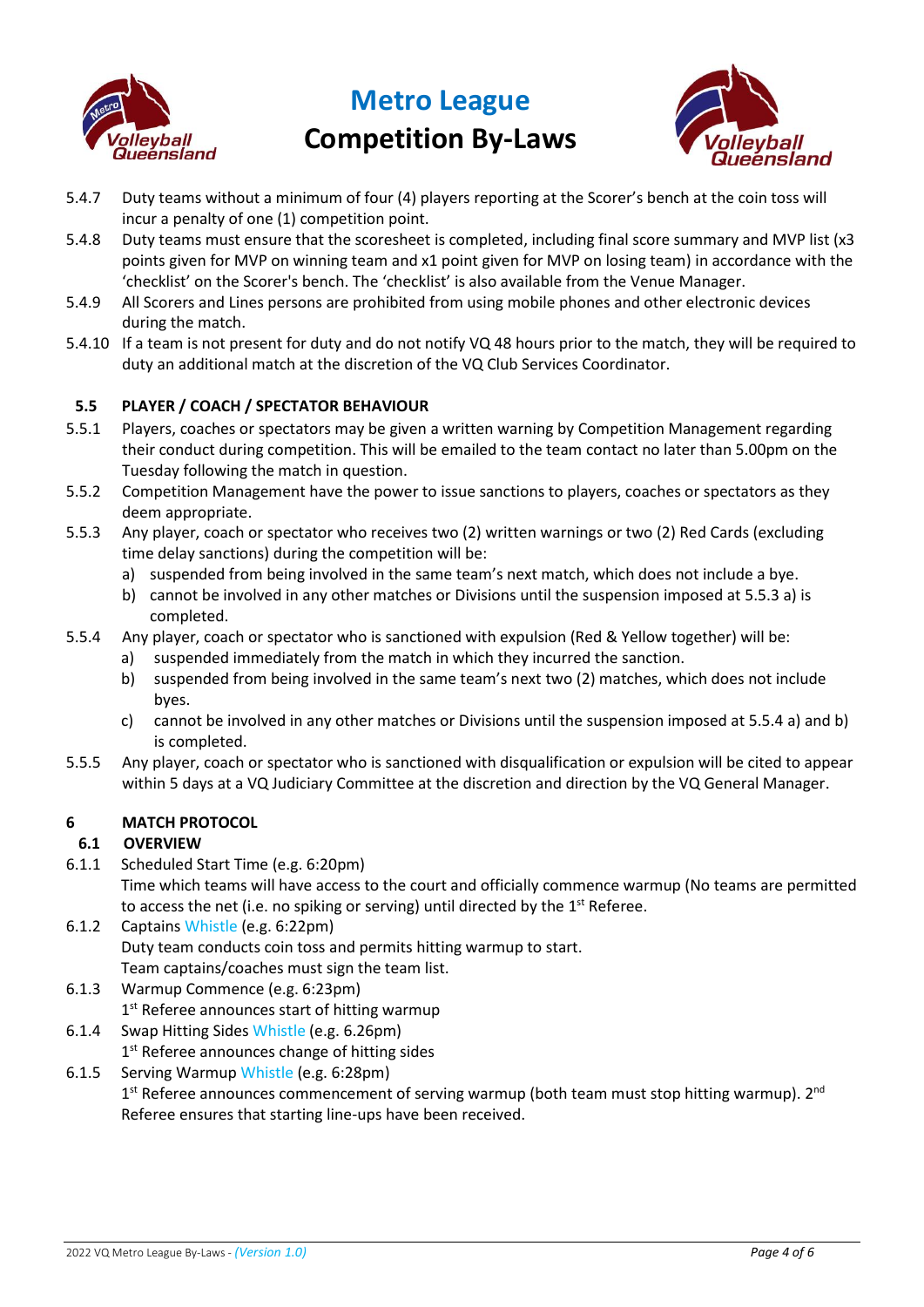



- 5.4.7 Duty teams without a minimum of four (4) players reporting at the Scorer's bench at the coin toss will incur a penalty of one (1) competition point.
- 5.4.8 Duty teams must ensure that the scoresheet is completed, including final score summary and MVP list (x3 points given for MVP on winning team and x1 point given for MVP on losing team) in accordance with the 'checklist' on the Scorer's bench. The 'checklist' is also available from the Venue Manager.
- 5.4.9 All Scorers and Lines persons are prohibited from using mobile phones and other electronic devices during the match.
- 5.4.10 If a team is not present for duty and do not notify VQ 48 hours prior to the match, they will be required to duty an additional match at the discretion of the VQ Club Services Coordinator.

## **5.5 PLAYER / COACH / SPECTATOR BEHAVIOUR**

- 5.5.1 Players, coaches or spectators may be given a written warning by Competition Management regarding their conduct during competition. This will be emailed to the team contact no later than 5.00pm on the Tuesday following the match in question.
- 5.5.2 Competition Management have the power to issue sanctions to players, coaches or spectators as they deem appropriate.
- 5.5.3 Any player, coach or spectator who receives two (2) written warnings or two (2) Red Cards (excluding time delay sanctions) during the competition will be:
	- a) suspended from being involved in the same team's next match, which does not include a bye.
	- b) cannot be involved in any other matches or Divisions until the suspension imposed at 5.5.3 a) is completed.
- 5.5.4 Any player, coach or spectator who is sanctioned with expulsion (Red & Yellow together) will be:
	- a) suspended immediately from the match in which they incurred the sanction.
	- b) suspended from being involved in the same team's next two (2) matches, which does not include byes.
	- c) cannot be involved in any other matches or Divisions until the suspension imposed at 5.5.4 a) and b) is completed.
- 5.5.5 Any player, coach or spectator who is sanctioned with disqualification or expulsion will be cited to appear within 5 days at a VQ Judiciary Committee at the discretion and direction by the VQ General Manager.

## <span id="page-3-0"></span>**6 MATCH PROTOCOL**

## **6.1 OVERVIEW**

6.1.1 Scheduled Start Time (e.g. 6:20pm)

Time which teams will have access to the court and officially commence warmup (No teams are permitted to access the net (i.e. no spiking or serving) until directed by the  $1<sup>st</sup>$  Referee.

- 6.1.2 Captains Whistle (e.g. 6:22pm) Duty team conducts coin toss and permits hitting warmup to start. Team captains/coaches must sign the team list.
- 6.1.3 Warmup Commence (e.g. 6:23pm) 1<sup>st</sup> Referee announces start of hitting warmup
- 6.1.4 Swap Hitting Sides Whistle (e.g. 6.26pm) 1<sup>st</sup> Referee announces change of hitting sides
- 6.1.5 Serving Warmup Whistle (e.g. 6:28pm)

1<sup>st</sup> Referee announces commencement of serving warmup (both team must stop hitting warmup). 2<sup>nd</sup> Referee ensures that starting line-ups have been received.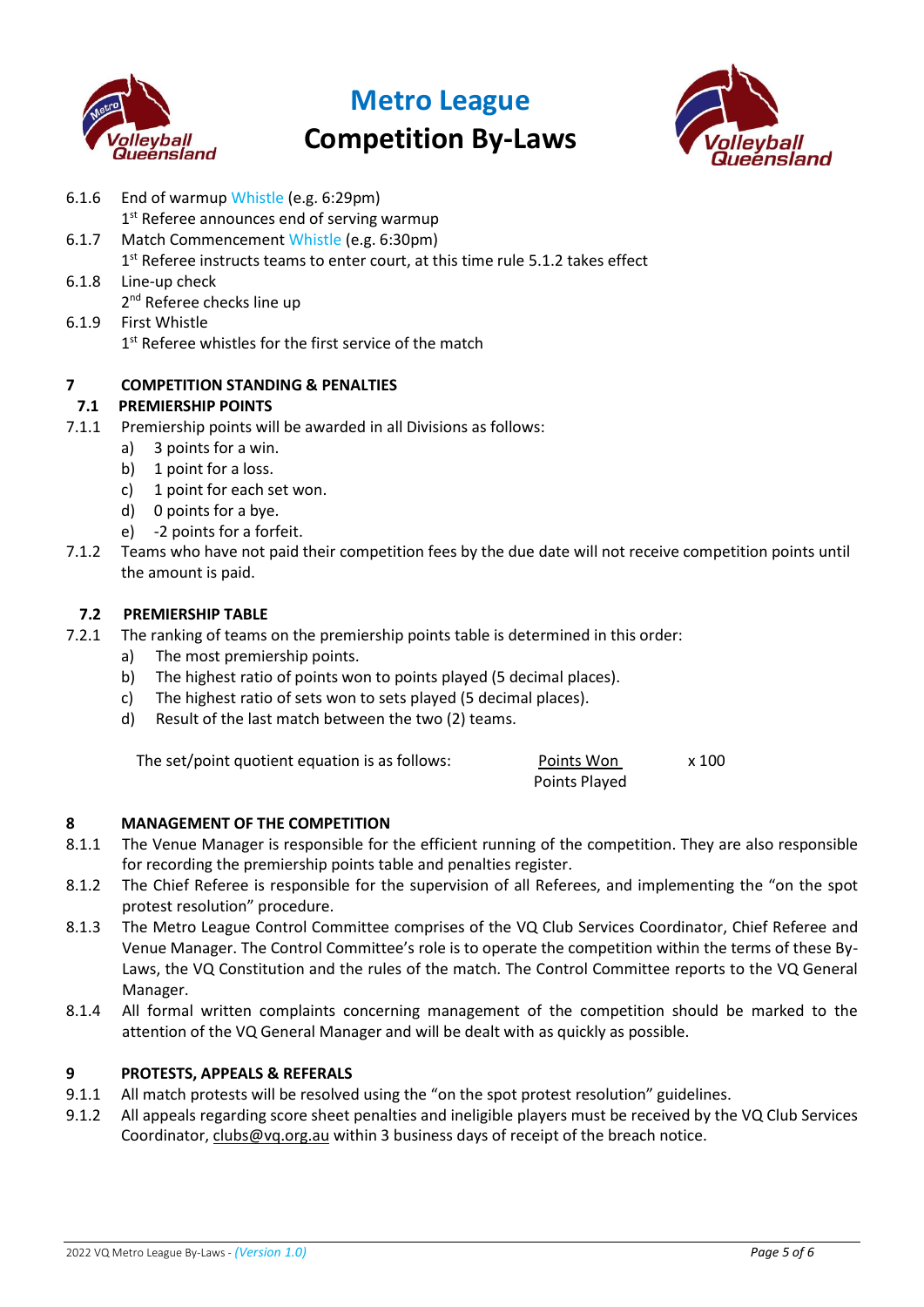

## **Metro League**

## **Competition By-Laws**



- 6.1.6 End of warmup Whistle (e.g. 6:29pm) 1<sup>st</sup> Referee announces end of serving warmup 6.1.7 Match Commencement Whistle (e.g. 6:30pm) 1<sup>st</sup> Referee instructs teams to enter court, at this time rul[e 5.1.2](#page-1-0) takes effect 6.1.8 Line-up check 2<sup>nd</sup> Referee checks line up 6.1.9 First Whistle 1<sup>st</sup> Referee whistles for the first service of the match **7 COMPETITION STANDING & PENALTIES 7.1 PREMIERSHIP POINTS** 7.1.1 Premiership points will be awarded in all Divisions as follows:
	- a) 3 points for a win.
	- b) 1 point for a loss.
	- c) 1 point for each set won.
	- d) 0 points for a bye.
	- e) -2 points for a forfeit.
- 7.1.2 Teams who have not paid their competition fees by the due date will not receive competition points until the amount is paid.

### **7.2 PREMIERSHIP TABLE**

- 7.2.1 The ranking of teams on the premiership points table is determined in this order:
	- a) The most premiership points.
	- b) The highest ratio of points won to points played (5 decimal places).
	- c) The highest ratio of sets won to sets played (5 decimal places).
	- d) Result of the last match between the two (2) teams.

The set/point quotient equation is as follows:  $Points$  Won  $x$  100

| :bllows | Points Won    | x 10 |
|---------|---------------|------|
|         | Points Played |      |

### **8 MANAGEMENT OF THE COMPETITION**

- 8.1.1 The Venue Manager is responsible for the efficient running of the competition. They are also responsible for recording the premiership points table and penalties register.
- 8.1.2 The Chief Referee is responsible for the supervision of all Referees, and implementing the "on the spot protest resolution" procedure.
- 8.1.3 The Metro League Control Committee comprises of the VQ Club Services Coordinator, Chief Referee and Venue Manager. The Control Committee's role is to operate the competition within the terms of these By-Laws, the VQ Constitution and the rules of the match. The Control Committee reports to the VQ General Manager.
- 8.1.4 All formal written complaints concerning management of the competition should be marked to the attention of the VQ General Manager and will be dealt with as quickly as possible.

### **9 PROTESTS, APPEALS & REFERALS**

- 9.1.1 All match protests will be resolved using the "on the spot protest resolution" guidelines.
- 9.1.2 All appeals regarding score sheet penalties and ineligible players must be received by the VQ Club Services Coordinator, [clubs@vq.org.au](mailto:clubs@vq.org.au) within 3 business days of receipt of the breach notice.